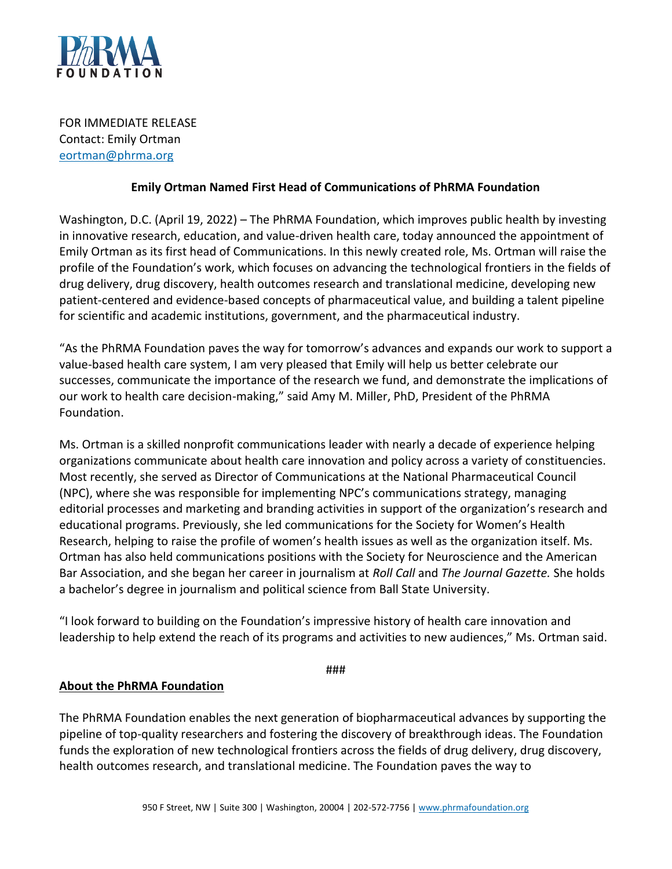

FOR IMMEDIATE RELEASE Contact: Emily Ortman [eortman@phrma.org](mailto:eortman@phrma.org)

## **Emily Ortman Named First Head of Communications of PhRMA Foundation**

Washington, D.C. (April 19, 2022) – The PhRMA Foundation, which improves public health by investing in innovative research, education, and value-driven health care, today announced the appointment of Emily Ortman as its first head of Communications. In this newly created role, Ms. Ortman will raise the profile of the Foundation's work, which focuses on advancing the technological frontiers in the fields of drug delivery, drug discovery, health outcomes research and translational medicine, developing new patient-centered and evidence-based concepts of pharmaceutical value, and building a talent pipeline for scientific and academic institutions, government, and the pharmaceutical industry.

"As the PhRMA Foundation paves the way for tomorrow's advances and expands our work to support a value-based health care system, I am very pleased that Emily will help us better celebrate our successes, communicate the importance of the research we fund, and demonstrate the implications of our work to health care decision-making," said Amy M. Miller, PhD, President of the PhRMA Foundation.

Ms. Ortman is a skilled nonprofit communications leader with nearly a decade of experience helping organizations communicate about health care innovation and policy across a variety of constituencies. Most recently, she served as Director of Communications at the National Pharmaceutical Council (NPC), where she was responsible for implementing NPC's communications strategy, managing editorial processes and marketing and branding activities in support of the organization's research and educational programs. Previously, she led communications for the Society for Women's Health Research, helping to raise the profile of women's health issues as well as the organization itself. Ms. Ortman has also held communications positions with the Society for Neuroscience and the American Bar Association, and she began her career in journalism at *Roll Call* and *The Journal Gazette.* She holds a bachelor's degree in journalism and political science from Ball State University.

"I look forward to building on the Foundation's impressive history of health care innovation and leadership to help extend the reach of its programs and activities to new audiences," Ms. Ortman said.

###

## **About the PhRMA Foundation**

The PhRMA Foundation enables the next generation of biopharmaceutical advances by supporting the pipeline of top-quality researchers and fostering the discovery of breakthrough ideas. The Foundation funds the exploration of new technological frontiers across the fields of drug delivery, drug discovery, health outcomes research, and translational medicine. The Foundation paves the way to